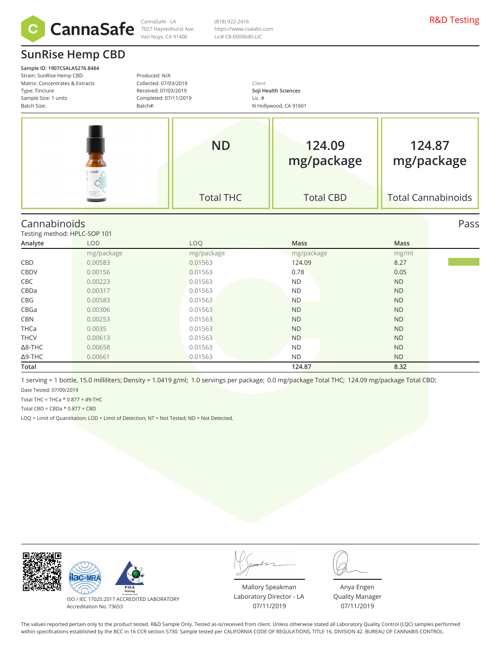

# **SunRise Hemp CBD**

**Sample ID: 1907CSALA5276.8484** Strain: SunRise Hemp CBD Matrix: Concentrates & Ext Type: Tincture Sample Size: 1 units Batch Size:

Produced: N/A Collected: 07/03/2019

Client **Soji Health Sciences** Lic. #

|          | Completed: 07/11/2019<br>Batch#: | Lic. $#$<br>N Hollywood, CA 91601 |  |
|----------|----------------------------------|-----------------------------------|--|
|          | Received: 07/03/2019             | Soji Health Sciences              |  |
| :xtracts | Collected: 07/03/2019            | llent.                            |  |

| <b>ND</b>        | 124.09<br>mg/package | 124.87<br>mg/package      |
|------------------|----------------------|---------------------------|
| <b>Total THC</b> | <b>Total CBD</b>     | <b>Total Cannabinoids</b> |

(818) 922-2416 https://www.csalabs.com Lic# C8-0000040-LIC

### Cannabinoids Pass

Testing method: HPLC-SOP 101

| Analyte        | LOD        | LOQ        | Mass       | Mass      |  |
|----------------|------------|------------|------------|-----------|--|
|                | mg/package | mg/package | mg/package | mg/ml     |  |
| CBD            | 0.00583    | 0.01563    | 124.09     | 8.27      |  |
| CBDV           | 0.00156    | 0.01563    | 0.78       | 0.05      |  |
| CBC            | 0.00223    | 0.01563    | ND.        | <b>ND</b> |  |
| CBDa           | 0.00317    | 0.01563    | <b>ND</b>  | <b>ND</b> |  |
| CBG            | 0.00583    | 0.01563    | <b>ND</b>  | <b>ND</b> |  |
| CBGa           | 0.00306    | 0.01563    | <b>ND</b>  | <b>ND</b> |  |
| CBN            | 0.00253    | 0.01563    | <b>ND</b>  | <b>ND</b> |  |
| <b>THCa</b>    | 0.0035     | 0.01563    | <b>ND</b>  | <b>ND</b> |  |
| <b>THCV</b>    | 0.00613    | 0.01563    | <b>ND</b>  | <b>ND</b> |  |
| $\Delta$ 8-THC | 0.00658    | 0.01563    | ND.        | <b>ND</b> |  |
| $\Delta$ 9-THC | 0.00661    | 0.01563    | <b>ND</b>  | <b>ND</b> |  |
| Total          |            |            | 124.87     | 8.32      |  |

1 serving = 1 bottle, 15.0 milliliters; Density = 1.0419 g/ml; 1.0 servings per package; 0.0 mg/package Total THC; 124.09 mg/package Total CBD; Date Tested: 07/09/2019

Total THC = THCa  $*$  0.877 + d9-THC

Total CBD =  $CBDa * 0.877 + CBD$ 

LOQ = Limit of Quantitation; LOD = Limit of Detection; NT = Not Tested; ND = Not Detected.



ISO / IEC 17025:2017 ACCREDITED LABORATORY Accreditation No. 73653

Mallory Speakman Laboratory Director - LA 07/11/2019

Anya Engen Quality Manager 07/11/2019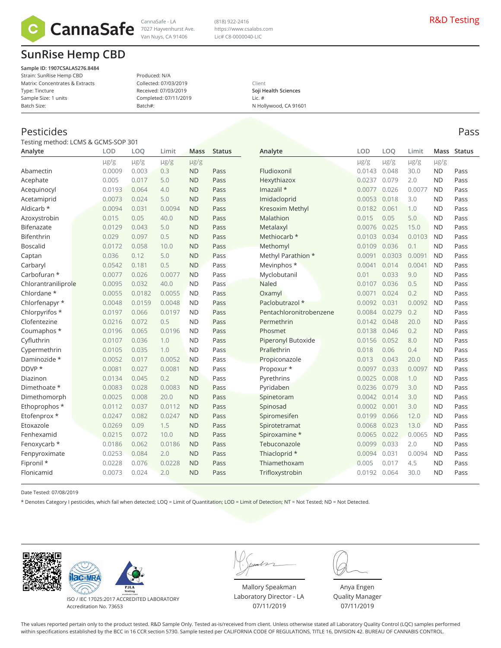

# **SunRise Hemp CBD**

**Sample ID: 1907CSALA5276.8484** Strain: SunRise Hemp CBD Matrix: Concentrates & Extracts Type: Tincture Sample Size: 1 units Batch Size:

#### Produced: N/A Collected: 07/03/2019 Received: 07/03/2019 Completed: 07/11/2019 Batch#:

#### Client **Soji Health Sciences** Lic. # N Hollywood, CA 91601

(818) 922-2416 https://www.csalabs.com Lic# C8-0000040-LIC

Pesticides Pass

Testing method: LCMS & GCMS-SOP 301

| Analyte             | LOD       | LOQ       | Limit     | Mass      | <b>Status</b> | Analyte                   | LOD       | LOO       | Limit     | Mass      | <b>Status</b> |
|---------------------|-----------|-----------|-----------|-----------|---------------|---------------------------|-----------|-----------|-----------|-----------|---------------|
|                     | $\mu$ g/g | $\mu$ g/g | $\mu$ g/g | $\mu$ g/g |               |                           | $\mu$ g/g | $\mu$ g/g | $\mu$ g/g | $\mu$ g/g |               |
| Abamectin           | 0.0009    | 0.003     | 0.3       | <b>ND</b> | Pass          | Fludioxonil               | 0.0143    | 0.048     | 30.0      | <b>ND</b> | Pass          |
| Acephate            | 0.005     | 0.017     | 5.0       | <b>ND</b> | Pass          | Hexythiazox               | 0.0237    | 0.079     | 2.0       | <b>ND</b> | Pass          |
| Acequinocyl         | 0.0193    | 0.064     | 4.0       | <b>ND</b> | Pass          | Imazalil *                | 0.0077    | 0.026     | 0.0077    | <b>ND</b> | Pass          |
| Acetamiprid         | 0.0073    | 0.024     | 5.0       | <b>ND</b> | Pass          | Imidacloprid              | 0.0053    | 0.018     | 3.0       | <b>ND</b> | Pass          |
| Aldicarb *          | 0.0094    | 0.031     | 0.0094    | <b>ND</b> | Pass          | <b>Kresoxim Methyl</b>    | 0.0182    | 0.061     | 1.0       | <b>ND</b> | Pass          |
| Azoxystrobin        | 0.015     | 0.05      | 40.0      | <b>ND</b> | Pass          | Malathion                 | 0.015     | 0.05      | 5.0       | <b>ND</b> | Pass          |
| Bifenazate          | 0.0129    | 0.043     | 5.0       | <b>ND</b> | Pass          | Metalaxyl                 | 0.0076    | 0.025     | 15.0      | <b>ND</b> | Pass          |
| Bifenthrin          | 0.029     | 0.097     | 0.5       | <b>ND</b> | Pass          | Methiocarb *              | 0.0103    | 0.034     | 0.0103    | <b>ND</b> | Pass          |
| <b>Boscalid</b>     | 0.0172    | 0.058     | 10.0      | <b>ND</b> | Pass          | Methomyl                  | 0.0109    | 0.036     | 0.1       | <b>ND</b> | Pass          |
| Captan              | 0.036     | 0.12      | 5.0       | <b>ND</b> | Pass          | Methyl Parathion *        | 0.0091    | 0.0303    | 0.0091    | <b>ND</b> | Pass          |
| Carbaryl            | 0.0542    | 0.181     | 0.5       | <b>ND</b> | Pass          | Mevinphos *               | 0.0041    | 0.014     | 0.0041    | <b>ND</b> | Pass          |
| Carbofuran *        | 0.0077    | 0.026     | 0.0077    | <b>ND</b> | Pass          | Myclobutanil              | 0.01      | 0.033     | 9.0       | <b>ND</b> | Pass          |
| Chlorantraniliprole | 0.0095    | 0.032     | 40.0      | <b>ND</b> | Pass          | <b>Naled</b>              | 0.0107    | 0.036     | 0.5       | <b>ND</b> | Pass          |
| Chlordane *         | 0.0055    | 0.0182    | 0.0055    | <b>ND</b> | Pass          | Oxamyl                    | 0.0071    | 0.024     | 0.2       | <b>ND</b> | Pass          |
| Chlorfenapyr *      | 0.0048    | 0.0159    | 0.0048    | <b>ND</b> | Pass          | Paclobutrazol *           | 0.0092    | 0.031     | 0.0092    | <b>ND</b> | Pass          |
| Chlorpyrifos *      | 0.0197    | 0.066     | 0.0197    | <b>ND</b> | Pass          | Pentachloronitrobenzene   | 0.0084    | 0.0279    | 0.2       | <b>ND</b> | Pass          |
| Clofentezine        | 0.0216    | 0.072     | 0.5       | <b>ND</b> | Pass          | Permethrin                | 0.0142    | 0.048     | 20.0      | <b>ND</b> | Pass          |
| Coumaphos *         | 0.0196    | 0.065     | 0.0196    | <b>ND</b> | Pass          | Phosmet                   | 0.0138    | 0.046     | 0.2       | <b>ND</b> | Pass          |
| Cyfluthrin          | 0.0107    | 0.036     | 1.0       | <b>ND</b> | Pass          | <b>Piperonyl Butoxide</b> | 0.0156    | 0.052     | 8.0       | <b>ND</b> | Pass          |
| Cypermethrin        | 0.0105    | 0.035     | 1.0       | <b>ND</b> | Pass          | Prallethrin               | 0.018     | 0.06      | 0.4       | <b>ND</b> | Pass          |
| Daminozide *        | 0.0052    | 0.017     | 0.0052    | <b>ND</b> | Pass          | Propiconazole             | 0.013     | 0.043     | 20.0      | <b>ND</b> | Pass          |
| DDVP *              | 0.0081    | 0.027     | 0.0081    | <b>ND</b> | Pass          | Propoxur *                | 0.0097    | 0.033     | 0.0097    | <b>ND</b> | Pass          |
| Diazinon            | 0.0134    | 0.045     | 0.2       | <b>ND</b> | Pass          | Pyrethrins                | 0.0025    | 0.008     | 1.0       | <b>ND</b> | Pass          |
| Dimethoate *        | 0.0083    | 0.028     | 0.0083    | <b>ND</b> | Pass          | Pyridaben                 | 0.0236    | 0.079     | 3.0       | <b>ND</b> | Pass          |
| Dimethomorph        | 0.0025    | 0.008     | 20.0      | <b>ND</b> | Pass          | Spinetoram                | 0.0042    | 0.014     | 3.0       | <b>ND</b> | Pass          |
| Ethoprophos *       | 0.0112    | 0.037     | 0.0112    | <b>ND</b> | Pass          | Spinosad                  | 0.0002    | 0.001     | 3.0       | <b>ND</b> | Pass          |
| Etofenprox *        | 0.0247    | 0.082     | 0.0247    | <b>ND</b> | Pass          | Spiromesifen              | 0.0199    | 0.066     | 12.0      | <b>ND</b> | Pass          |
| Etoxazole           | 0.0269    | 0.09      | 1.5       | <b>ND</b> | Pass          | Spirotetramat             | 0.0068    | 0.023     | 13.0      | <b>ND</b> | Pass          |
| Fenhexamid          | 0.0215    | 0.072     | 10.0      | <b>ND</b> | Pass          | Spiroxamine *             | 0.0065    | 0.022     | 0.0065    | <b>ND</b> | Pass          |
| Fenoxycarb *        | 0.0186    | 0.062     | 0.0186    | <b>ND</b> | Pass          | Tebuconazole              | 0.0099    | 0.033     | 2.0       | <b>ND</b> | Pass          |
| Fenpyroximate       | 0.0253    | 0.084     | 2.0       | <b>ND</b> | Pass          | Thiacloprid *             | 0.0094    | 0.031     | 0.0094    | <b>ND</b> | Pass          |
| Fipronil *          | 0.0228    | 0.076     | 0.0228    | <b>ND</b> | Pass          | Thiamethoxam              | 0.005     | 0.017     | 4.5       | <b>ND</b> | Pass          |
| Flonicamid          | 0.0073    | 0.024     | 2.0       | <b>ND</b> | Pass          | Trifloxystrobin           | 0.0192    | 0.064     | 30.0      | <b>ND</b> | Pass          |
|                     |           |           |           |           |               |                           |           |           |           |           |               |

Date Tested: 07/08/2019

\* Denotes Category I pesticides, which fail when detected; LOQ = Limit of Quantitation; LOD = Limit of Detection; NT = Not Tested; ND = Not Detected.





ISO / IEC 17025:2017 ACCREDITED LABORATORY Accreditation No. 73653

Mallory Speakman Laboratory Director - LA 07/11/2019

Anya Engen Quality Manager 07/11/2019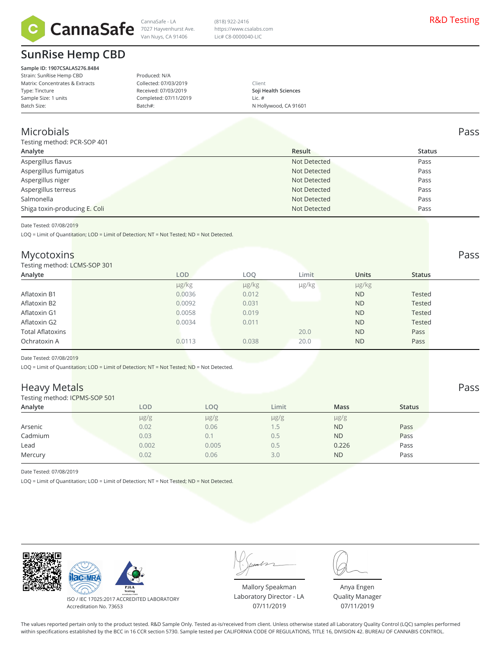

## **SunRise Hemp CBD**

**Sample ID: 1907CSALA5276.8484** Strain: SunRise Hemp CBD Matrix: Concentrates & Extracts Type: Tincture Sample Size: 1 units Batch Size:

Produced: N/A Collected: 07/03/2019 Received: 07/03/2019 Completed: 07/11/2019 Batch#:

Client **Soji Health Sciences** Lic. # N Hollywood, CA 91601

### Microbials Pass

Testing method: PCR-SOP 401

| $1$ counts intention. Then $301$ +0 is |              |               |
|----------------------------------------|--------------|---------------|
| Analyte                                | Result       | <b>Status</b> |
| Aspergillus flavus                     | Not Detected | Pass          |
| Aspergillus fumigatus                  | Not Detected | Pass          |
| Aspergillus niger                      | Not Detected | Pass          |
| Aspergillus terreus                    | Not Detected | Pass          |
| Salmonella                             | Not Detected | Pass          |
| Shiga toxin-producing E. Coli          | Not Detected | Pass          |
|                                        |              |               |

(818) 922-2416 https://www.csalabs.com Lic# C8-0000040-LIC

Date Tested: 07/08/2019

LOQ = Limit of Quantitation; LOD = Limit of Detection; NT = Not Tested; ND = Not Detected.

### Mycotoxins Pass

#### Testing method: LCMS-SOP 301

| Testing method: LCMS-SOP 301 |        |            |       |              |               |
|------------------------------|--------|------------|-------|--------------|---------------|
| Analyte                      | LOD    | LOO        | Limit | <b>Units</b> | <b>Status</b> |
|                              | µg/kg  | $\mu$ g/kg | µg/kg | µg/kg        |               |
| Aflatoxin B1                 | 0.0036 | 0.012      |       | <b>ND</b>    | <b>Tested</b> |
| Aflatoxin B2                 | 0.0092 | 0.031      |       | <b>ND</b>    | <b>Tested</b> |
| Aflatoxin G1                 | 0.0058 | 0.019      |       | <b>ND</b>    | <b>Tested</b> |
| Aflatoxin G2                 | 0.0034 | 0.011      |       | <b>ND</b>    | <b>Tested</b> |
| <b>Total Aflatoxins</b>      |        |            | 20.0  | <b>ND</b>    | Pass          |
| Ochratoxin A                 | 0.0113 | 0.038      | 20.0  | <b>ND</b>    | Pass          |
|                              |        |            |       |              |               |

Date Tested: 07/08/2019

LOQ = Limit of Quantitation; LOD = Limit of Detection; NT = Not Tested; ND = Not Detected.

### Heavy Metals Pass

Testing method: ICPMS-SOP 501

| $\frac{1}{2}$ |           |           |           |             |               |
|---------------|-----------|-----------|-----------|-------------|---------------|
| Analyte       | LOD       | LOQ       | Limit     | <b>Mass</b> | <b>Status</b> |
|               | $\mu$ g/g | $\mu$ g/g | $\mu$ g/g | $\mu$ g/g   |               |
| Arsenic       | 0.02      | 0.06      | 1.5       | <b>ND</b>   | Pass          |
| Cadmium       | 0.03      | 0.1       | 0.5       | <b>ND</b>   | Pass          |
| Lead          | 0.002     | 0.005     | 0.5       | 0.226       | Pass          |
| Mercury       | 0.02      | 0.06      | 3.0       | <b>ND</b>   | Pass          |
|               |           |           |           |             |               |

Date Tested: 07/08/2019

LOQ = Limit of Quantitation; LOD = Limit of Detection; NT = Not Tested; ND = Not Detected.



ISO / IEC 17025:2017 ACCREDITED LABORATORY Accreditation No. 73653

Mallory Speakman Laboratory Director - LA 07/11/2019

Anya Engen Quality Manager 07/11/2019